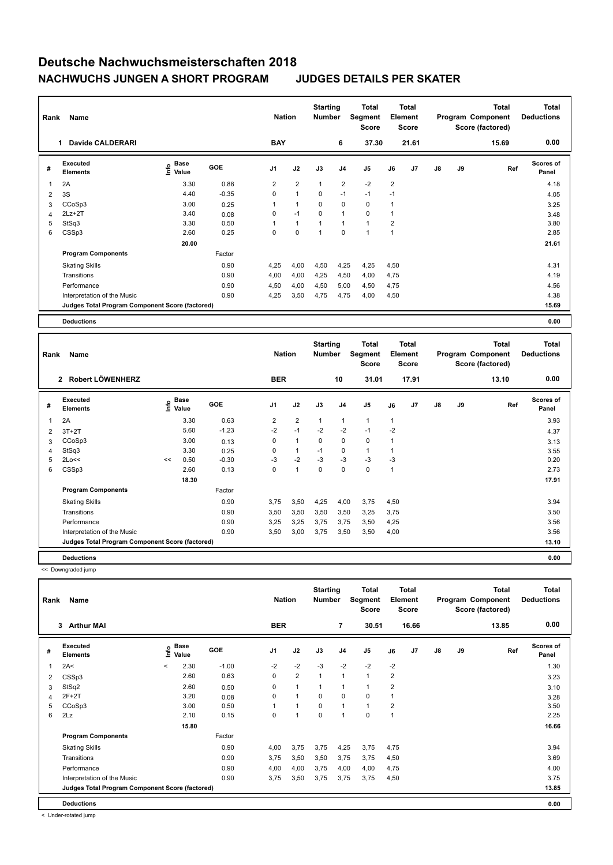| Rank           | Name                                            |                                  |            | <b>Nation</b>  |                | <b>Starting</b><br><b>Number</b> |                | Total<br>Segment<br><b>Score</b> |                | <b>Total</b><br>Element<br><b>Score</b> |               |    | <b>Total</b><br>Program Component<br>Score (factored) | <b>Total</b><br><b>Deductions</b> |
|----------------|-------------------------------------------------|----------------------------------|------------|----------------|----------------|----------------------------------|----------------|----------------------------------|----------------|-----------------------------------------|---------------|----|-------------------------------------------------------|-----------------------------------|
|                | <b>Davide CALDERARI</b><br>1.                   |                                  |            | <b>BAY</b>     |                |                                  | 6              | 37.30                            |                | 21.61                                   |               |    | 15.69                                                 | 0.00                              |
| #              | Executed<br><b>Elements</b>                     | <b>Base</b><br>o Base<br>⊆ Value | <b>GOE</b> | J <sub>1</sub> | J2             | J3                               | J <sub>4</sub> | J <sub>5</sub>                   | J6             | J7                                      | $\mathsf{J}8$ | J9 | Ref                                                   | <b>Scores of</b><br>Panel         |
| -1             | 2A                                              | 3.30                             | 0.88       | 2              | $\overline{2}$ | 1                                | $\overline{2}$ | $-2$                             | $\overline{2}$ |                                         |               |    |                                                       | 4.18                              |
| 2              | 3S                                              | 4.40                             | $-0.35$    | 0              | $\mathbf{1}$   | $\mathbf 0$                      | $-1$           | $-1$                             | $-1$           |                                         |               |    |                                                       | 4.05                              |
| 3              | CCoSp3                                          | 3.00                             | 0.25       | 1              | $\mathbf{1}$   | 0                                | $\mathbf 0$    | 0                                | 1              |                                         |               |    |                                                       | 3.25                              |
| $\overline{4}$ | $2Lz+2T$                                        | 3.40                             | 0.08       | 0              | $-1$           | 0                                | $\mathbf{1}$   | 0                                | 1              |                                         |               |    |                                                       | 3.48                              |
| 5              | StSq3                                           | 3.30                             | 0.50       |                | $\mathbf{1}$   |                                  | $\overline{1}$ | $\mathbf{1}$                     | $\overline{2}$ |                                         |               |    |                                                       | 3.80                              |
| 6              | CSSp3                                           | 2.60                             | 0.25       | $\Omega$       | $\mathbf 0$    |                                  | $\mathbf 0$    | $\overline{1}$                   | 1              |                                         |               |    |                                                       | 2.85                              |
|                |                                                 | 20.00                            |            |                |                |                                  |                |                                  |                |                                         |               |    |                                                       | 21.61                             |
|                | <b>Program Components</b>                       |                                  | Factor     |                |                |                                  |                |                                  |                |                                         |               |    |                                                       |                                   |
|                | <b>Skating Skills</b>                           |                                  | 0.90       | 4,25           | 4,00           | 4,50                             | 4,25           | 4,25                             | 4,50           |                                         |               |    |                                                       | 4.31                              |
|                | Transitions                                     |                                  | 0.90       | 4,00           | 4,00           | 4,25                             | 4,50           | 4,00                             | 4,75           |                                         |               |    |                                                       | 4.19                              |
|                | Performance                                     |                                  | 0.90       | 4,50           | 4,00           | 4,50                             | 5,00           | 4,50                             | 4,75           |                                         |               |    |                                                       | 4.56                              |
|                | Interpretation of the Music                     |                                  | 0.90       | 4,25           | 3,50           | 4,75                             | 4,75           | 4,00                             | 4,50           |                                         |               |    |                                                       | 4.38                              |
|                | Judges Total Program Component Score (factored) |                                  |            |                |                |                                  |                |                                  |                |                                         |               |    |                                                       | 15.69                             |
|                | <b>Deductions</b>                               |                                  |            |                |                |                                  |                |                                  |                |                                         |               |    |                                                       | 0.00                              |

| Rank           | Name                                            |    |                             |            | <b>Nation</b>  |                | <b>Starting</b><br><b>Number</b> |             | Total<br>Segment<br><b>Score</b> |              | <b>Total</b><br>Element<br><b>Score</b> |               |    | <b>Total</b><br>Program Component<br>Score (factored) | <b>Total</b><br><b>Deductions</b> |
|----------------|-------------------------------------------------|----|-----------------------------|------------|----------------|----------------|----------------------------------|-------------|----------------------------------|--------------|-----------------------------------------|---------------|----|-------------------------------------------------------|-----------------------------------|
|                | Robert LÖWENHERZ<br>$\mathbf{2}$                |    |                             |            | <b>BER</b>     |                |                                  | 10          | 31.01                            |              | 17.91                                   |               |    | 13.10                                                 | 0.00                              |
| #              | Executed<br><b>Elements</b>                     |    | Base<br>$\frac{6}{5}$ Value | <b>GOE</b> | J <sub>1</sub> | J2             | J3                               | J4          | J5                               | J6           | J7                                      | $\mathsf{J}8$ | J9 | Ref                                                   | <b>Scores of</b><br>Panel         |
| 1              | 2A                                              |    | 3.30                        | 0.63       | 2              | $\overline{2}$ | $\mathbf{1}$                     | 1           | $\mathbf{1}$                     | 1            |                                         |               |    |                                                       | 3.93                              |
| $\overline{2}$ | $3T+2T$                                         |    | 5.60                        | $-1.23$    | $-2$           | $-1$           | $-2$                             | $-2$        | $-1$                             | $-2$         |                                         |               |    |                                                       | 4.37                              |
| 3              | CCoSp3                                          |    | 3.00                        | 0.13       | $\Omega$       | $\mathbf{1}$   | 0                                | 0           | 0                                | 1            |                                         |               |    |                                                       | 3.13                              |
| 4              | StSq3                                           |    | 3.30                        | 0.25       | $\Omega$       | $\mathbf{1}$   | $-1$                             | $\mathbf 0$ | $\mathbf{1}$                     | 1            |                                         |               |    |                                                       | 3.55                              |
| 5              | 2Lo<<                                           | << | 0.50                        | $-0.30$    | $-3$           | $-2$           | -3                               | -3          | $-3$                             | $-3$         |                                         |               |    |                                                       | 0.20                              |
| 6              | CSSp3                                           |    | 2.60                        | 0.13       | $\Omega$       | $\mathbf{1}$   | $\mathbf 0$                      | $\mathbf 0$ | $\mathbf 0$                      | $\mathbf{1}$ |                                         |               |    |                                                       | 2.73                              |
|                |                                                 |    | 18.30                       |            |                |                |                                  |             |                                  |              |                                         |               |    |                                                       | 17.91                             |
|                | <b>Program Components</b>                       |    |                             | Factor     |                |                |                                  |             |                                  |              |                                         |               |    |                                                       |                                   |
|                | <b>Skating Skills</b>                           |    |                             | 0.90       | 3.75           | 3,50           | 4,25                             | 4,00        | 3,75                             | 4,50         |                                         |               |    |                                                       | 3.94                              |
|                | Transitions                                     |    |                             | 0.90       | 3,50           | 3,50           | 3,50                             | 3,50        | 3,25                             | 3,75         |                                         |               |    |                                                       | 3.50                              |
|                | Performance                                     |    |                             | 0.90       | 3,25           | 3,25           | 3.75                             | 3.75        | 3,50                             | 4,25         |                                         |               |    |                                                       | 3.56                              |
|                | Interpretation of the Music                     |    |                             | 0.90       | 3,50           | 3,00           | 3,75                             | 3,50        | 3,50                             | 4,00         |                                         |               |    |                                                       | 3.56                              |
|                | Judges Total Program Component Score (factored) |    |                             |            |                |                |                                  |             |                                  |              |                                         |               |    |                                                       | 13.10                             |
|                | <b>Deductions</b>                               |    |                             |            |                |                |                                  |             |                                  |              |                                         |               |    |                                                       | 0.00                              |

<< Downgraded jump

| Rank | Name                                            |         |                                                    |         | <b>Nation</b>  |                | <b>Starting</b><br><b>Number</b> |                | <b>Total</b><br>Segment<br>Score |                         | <b>Total</b><br>Element<br>Score |               |    | <b>Total</b><br>Program Component<br>Score (factored) | <b>Total</b><br><b>Deductions</b> |
|------|-------------------------------------------------|---------|----------------------------------------------------|---------|----------------|----------------|----------------------------------|----------------|----------------------------------|-------------------------|----------------------------------|---------------|----|-------------------------------------------------------|-----------------------------------|
|      | <b>Arthur MAI</b><br>$\mathbf{3}$               |         |                                                    |         | <b>BER</b>     |                |                                  | 7              | 30.51                            |                         | 16.66                            |               |    | 13.85                                                 | 0.00                              |
| #    | Executed<br><b>Elements</b>                     |         | $\frac{e}{E}$ Base<br>$\frac{E}{E}$ Value<br>Value | GOE     | J <sub>1</sub> | J2             | J3                               | J <sub>4</sub> | J <sub>5</sub>                   | J6                      | J7                               | $\mathsf{J}8$ | J9 | Ref                                                   | <b>Scores of</b><br>Panel         |
| 1    | 2A<                                             | $\prec$ | 2.30                                               | $-1.00$ | $-2$           | $-2$           | $-3$                             | $-2$           | $-2$                             | $-2$                    |                                  |               |    |                                                       | 1.30                              |
| 2    | CSSp3                                           |         | 2.60                                               | 0.63    | 0              | $\overline{2}$ | $\mathbf{1}$                     | $\overline{1}$ | 1                                | $\overline{\mathbf{c}}$ |                                  |               |    |                                                       | 3.23                              |
| 3    | StSq2                                           |         | 2.60                                               | 0.50    | $\Omega$       | 1              | 1                                | 1              | 1                                | $\overline{2}$          |                                  |               |    |                                                       | 3.10                              |
| 4    | $2F+2T$                                         |         | 3.20                                               | 0.08    | $\Omega$       | 1              | $\Omega$                         | 0              | 0                                |                         |                                  |               |    |                                                       | 3.28                              |
| 5    | CCoSp3                                          |         | 3.00                                               | 0.50    |                | 1              | $\Omega$                         | $\mathbf{1}$   | 1                                | $\overline{2}$          |                                  |               |    |                                                       | 3.50                              |
| 6    | 2Lz                                             |         | 2.10                                               | 0.15    | $\Omega$       | 1              | $\Omega$                         | 1              | 0                                |                         |                                  |               |    |                                                       | 2.25                              |
|      |                                                 |         | 15.80                                              |         |                |                |                                  |                |                                  |                         |                                  |               |    |                                                       | 16.66                             |
|      | <b>Program Components</b>                       |         |                                                    | Factor  |                |                |                                  |                |                                  |                         |                                  |               |    |                                                       |                                   |
|      | <b>Skating Skills</b>                           |         |                                                    | 0.90    | 4,00           | 3,75           | 3,75                             | 4,25           | 3,75                             | 4,75                    |                                  |               |    |                                                       | 3.94                              |
|      | Transitions                                     |         |                                                    | 0.90    | 3.75           | 3,50           | 3,50                             | 3,75           | 3,75                             | 4,50                    |                                  |               |    |                                                       | 3.69                              |
|      | Performance                                     |         |                                                    | 0.90    | 4,00           | 4,00           | 3,75                             | 4,00           | 4,00                             | 4,75                    |                                  |               |    |                                                       | 4.00                              |
|      | Interpretation of the Music                     |         |                                                    | 0.90    | 3.75           | 3,50           | 3,75                             | 3,75           | 3,75                             | 4,50                    |                                  |               |    |                                                       | 3.75                              |
|      | Judges Total Program Component Score (factored) |         |                                                    |         |                |                |                                  |                |                                  |                         |                                  |               |    |                                                       | 13.85                             |
|      | <b>Deductions</b>                               |         |                                                    |         |                |                |                                  |                |                                  |                         |                                  |               |    |                                                       | 0.00                              |

< Under-rotated jump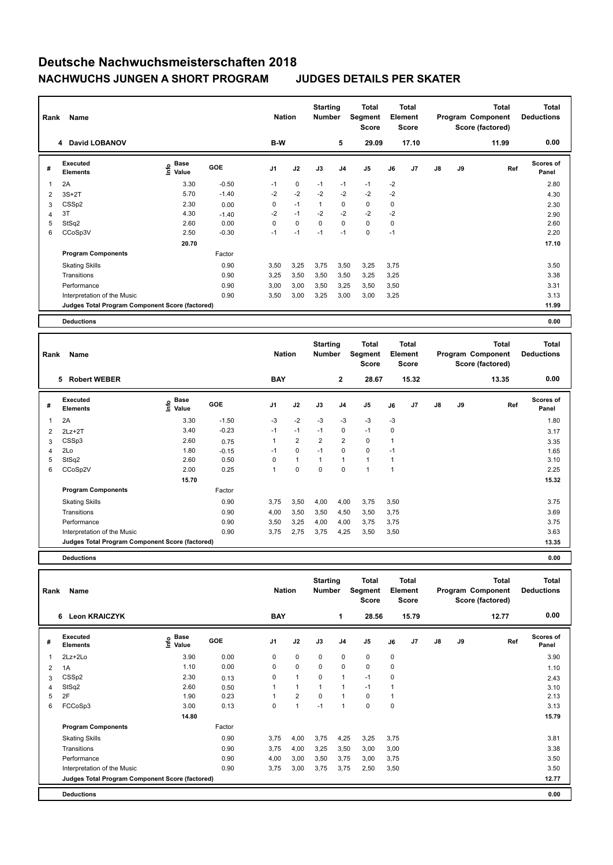| Rank | Name                                            |                       |            | <b>Nation</b>  |             | <b>Starting</b><br><b>Number</b> |                | <b>Total</b><br>Segment<br>Score |      | <b>Total</b><br>Element<br><b>Score</b> |               |    | <b>Total</b><br>Program Component<br>Score (factored) | <b>Total</b><br><b>Deductions</b> |
|------|-------------------------------------------------|-----------------------|------------|----------------|-------------|----------------------------------|----------------|----------------------------------|------|-----------------------------------------|---------------|----|-------------------------------------------------------|-----------------------------------|
|      | 4 David LOBANOV                                 |                       |            | B-W            |             |                                  | 5              | 29.09                            |      | 17.10                                   |               |    | 11.99                                                 | 0.00                              |
| #    | Executed<br><b>Elements</b>                     | Base<br>Info<br>Value | <b>GOE</b> | J <sub>1</sub> | J2          | J3                               | J <sub>4</sub> | J5                               | J6   | J7                                      | $\mathsf{J}8$ | J9 | Ref                                                   | <b>Scores of</b><br>Panel         |
| -1   | 2A                                              | 3.30                  | $-0.50$    | $-1$           | 0           | $-1$                             | $-1$           | $-1$                             | $-2$ |                                         |               |    |                                                       | 2.80                              |
| 2    | $3S+2T$                                         | 5.70                  | $-1.40$    | $-2$           | $-2$        | $-2$                             | $-2$           | $-2$                             | $-2$ |                                         |               |    |                                                       | 4.30                              |
| 3    | CSSp2                                           | 2.30                  | 0.00       | 0              | $-1$        | 1                                | 0              | 0                                | 0    |                                         |               |    |                                                       | 2.30                              |
| 4    | 3T                                              | 4.30                  | $-1.40$    | $-2$           | $-1$        | $-2$                             | $-2$           | $-2$                             | $-2$ |                                         |               |    |                                                       | 2.90                              |
| 5    | StSq2                                           | 2.60                  | 0.00       | 0              | $\mathbf 0$ | $\mathbf 0$                      | $\mathbf 0$    | $\mathbf 0$                      | 0    |                                         |               |    |                                                       | 2.60                              |
| 6    | CCoSp3V                                         | 2.50                  | $-0.30$    | $-1$           | $-1$        | $-1$                             | $-1$           | $\mathbf 0$                      | $-1$ |                                         |               |    |                                                       | 2.20                              |
|      |                                                 | 20.70                 |            |                |             |                                  |                |                                  |      |                                         |               |    |                                                       | 17.10                             |
|      | <b>Program Components</b>                       |                       | Factor     |                |             |                                  |                |                                  |      |                                         |               |    |                                                       |                                   |
|      | <b>Skating Skills</b>                           |                       | 0.90       | 3,50           | 3,25        | 3,75                             | 3,50           | 3,25                             | 3,75 |                                         |               |    |                                                       | 3.50                              |
|      | Transitions                                     |                       | 0.90       | 3,25           | 3,50        | 3,50                             | 3,50           | 3,25                             | 3,25 |                                         |               |    |                                                       | 3.38                              |
|      | Performance                                     |                       | 0.90       | 3,00           | 3,00        | 3,50                             | 3,25           | 3,50                             | 3,50 |                                         |               |    |                                                       | 3.31                              |
|      | Interpretation of the Music                     |                       | 0.90       | 3,50           | 3,00        | 3,25                             | 3,00           | 3,00                             | 3,25 |                                         |               |    |                                                       | 3.13                              |
|      | Judges Total Program Component Score (factored) |                       |            |                |             |                                  |                |                                  |      |                                         |               |    |                                                       | 11.99                             |
|      | <b>Deductions</b>                               |                       |            |                |             |                                  |                |                                  |      |                                         |               |    |                                                       | 0.00                              |

| Rank | Name                                            |                              |            | <b>Nation</b>  |                | <b>Starting</b><br><b>Number</b> |                | <b>Total</b><br>Segment<br><b>Score</b> |                | <b>Total</b><br>Element<br><b>Score</b> |               |    | Total<br>Program Component<br>Score (factored) | <b>Total</b><br><b>Deductions</b> |
|------|-------------------------------------------------|------------------------------|------------|----------------|----------------|----------------------------------|----------------|-----------------------------------------|----------------|-----------------------------------------|---------------|----|------------------------------------------------|-----------------------------------|
|      | <b>Robert WEBER</b><br>5                        |                              |            | <b>BAY</b>     |                |                                  | $\mathbf{2}$   | 28.67                                   |                | 15.32                                   |               |    | 13.35                                          | 0.00                              |
| #    | Executed<br><b>Elements</b>                     | <b>Base</b><br>lnfo<br>Value | <b>GOE</b> | J <sub>1</sub> | J2             | J3                               | J4             | J5                                      | J6             | J7                                      | $\mathsf{J}8$ | J9 | Ref                                            | Scores of<br>Panel                |
| 1    | 2A                                              | 3.30                         | $-1.50$    | $-3$           | $-2$           | $-3$                             | $-3$           | $-3$                                    | $-3$           |                                         |               |    |                                                | 1.80                              |
| 2    | $2Lz+2T$                                        | 3.40                         | $-0.23$    | $-1$           | $-1$           | $-1$                             | 0              | $-1$                                    | 0              |                                         |               |    |                                                | 3.17                              |
| 3    | CSSp3                                           | 2.60                         | 0.75       | 1              | $\overline{2}$ | $\overline{2}$                   | $\overline{2}$ | $\mathbf 0$                             | 1              |                                         |               |    |                                                | 3.35                              |
| 4    | 2Lo                                             | 1.80                         | $-0.15$    | $-1$           | 0              | $-1$                             | 0              | $\mathbf 0$                             | $-1$           |                                         |               |    |                                                | 1.65                              |
| 5    | StSq2                                           | 2.60                         | 0.50       | 0              | $\mathbf{1}$   | 1                                | 1              | $\mathbf{1}$                            | 1              |                                         |               |    |                                                | 3.10                              |
| 6    | CCoSp2V                                         | 2.00                         | 0.25       | 1              | 0              | 0                                | $\Omega$       | 1                                       | $\overline{1}$ |                                         |               |    |                                                | 2.25                              |
|      |                                                 | 15.70                        |            |                |                |                                  |                |                                         |                |                                         |               |    |                                                | 15.32                             |
|      | <b>Program Components</b>                       |                              | Factor     |                |                |                                  |                |                                         |                |                                         |               |    |                                                |                                   |
|      | <b>Skating Skills</b>                           |                              | 0.90       | 3,75           | 3,50           | 4,00                             | 4,00           | 3,75                                    | 3,50           |                                         |               |    |                                                | 3.75                              |
|      | Transitions                                     |                              | 0.90       | 4,00           | 3,50           | 3,50                             | 4,50           | 3,50                                    | 3,75           |                                         |               |    |                                                | 3.69                              |
|      | Performance                                     |                              | 0.90       | 3,50           | 3,25           | 4,00                             | 4,00           | 3,75                                    | 3,75           |                                         |               |    |                                                | 3.75                              |
|      | Interpretation of the Music                     |                              | 0.90       | 3,75           | 2,75           | 3,75                             | 4,25           | 3,50                                    | 3,50           |                                         |               |    |                                                | 3.63                              |
|      | Judges Total Program Component Score (factored) |                              |            |                |                |                                  |                |                                         |                |                                         |               |    |                                                | 13.35                             |
|      |                                                 |                              |            |                |                |                                  |                |                                         |                |                                         |               |    |                                                |                                   |

**Deductions 0.00**

| Rank           | Name                                            |                                                                               |            | <b>Nation</b>  |                | <b>Starting</b><br><b>Number</b> |                | <b>Total</b><br>Segment<br><b>Score</b> |             | Total<br>Element<br><b>Score</b> |               |    | <b>Total</b><br>Program Component<br>Score (factored) | <b>Total</b><br><b>Deductions</b> |
|----------------|-------------------------------------------------|-------------------------------------------------------------------------------|------------|----------------|----------------|----------------------------------|----------------|-----------------------------------------|-------------|----------------------------------|---------------|----|-------------------------------------------------------|-----------------------------------|
|                | <b>Leon KRAICZYK</b><br>6                       |                                                                               |            | <b>BAY</b>     |                |                                  | 1              | 28.56                                   |             | 15.79                            |               |    | 12.77                                                 | 0.00                              |
| #              | <b>Executed</b><br><b>Elements</b>              | $\overset{\circ}{\text{\sf E}}$ Base<br>$\overset{\circ}{\text{\sf E}}$ Value | <b>GOE</b> | J <sub>1</sub> | J2             | J3                               | J <sub>4</sub> | J5                                      | J6          | J7                               | $\mathsf{J}8$ | J9 | Ref                                                   | <b>Scores of</b><br>Panel         |
| 1              | 2Lz+2Lo                                         | 3.90                                                                          | 0.00       | 0              | $\pmb{0}$      | 0                                | $\pmb{0}$      | $\pmb{0}$                               | 0           |                                  |               |    |                                                       | 3.90                              |
| $\overline{2}$ | 1A                                              | 1.10                                                                          | 0.00       | $\Omega$       | $\mathbf 0$    | $\Omega$                         | $\mathbf 0$    | $\mathbf 0$                             | $\mathbf 0$ |                                  |               |    |                                                       | 1.10                              |
| 3              | CSSp2                                           | 2.30                                                                          | 0.13       | 0              | $\overline{1}$ | $\Omega$                         | $\overline{1}$ | $-1$                                    | $\mathbf 0$ |                                  |               |    |                                                       | 2.43                              |
| 4              | StSq2                                           | 2.60                                                                          | 0.50       |                | $\mathbf{1}$   |                                  | 1              | $-1$                                    |             |                                  |               |    |                                                       | 3.10                              |
| 5              | 2F                                              | 1.90                                                                          | 0.23       |                | $\overline{2}$ | 0                                | $\mathbf{1}$   | 0                                       | 1           |                                  |               |    |                                                       | 2.13                              |
| 6              | FCCoSp3                                         | 3.00                                                                          | 0.13       | 0              | $\mathbf{1}$   | $-1$                             | $\mathbf{1}$   | $\pmb{0}$                               | 0           |                                  |               |    |                                                       | 3.13                              |
|                |                                                 | 14.80                                                                         |            |                |                |                                  |                |                                         |             |                                  |               |    |                                                       | 15.79                             |
|                | <b>Program Components</b>                       |                                                                               | Factor     |                |                |                                  |                |                                         |             |                                  |               |    |                                                       |                                   |
|                | <b>Skating Skills</b>                           |                                                                               | 0.90       | 3,75           | 4,00           | 3,75                             | 4,25           | 3,25                                    | 3,75        |                                  |               |    |                                                       | 3.81                              |
|                | Transitions                                     |                                                                               | 0.90       | 3,75           | 4,00           | 3,25                             | 3,50           | 3,00                                    | 3,00        |                                  |               |    |                                                       | 3.38                              |
|                | Performance                                     |                                                                               | 0.90       | 4,00           | 3,00           | 3,50                             | 3,75           | 3,00                                    | 3,75        |                                  |               |    |                                                       | 3.50                              |
|                | Interpretation of the Music                     |                                                                               | 0.90       | 3,75           | 3,00           | 3,75                             | 3,75           | 2,50                                    | 3,50        |                                  |               |    |                                                       | 3.50                              |
|                | Judges Total Program Component Score (factored) |                                                                               |            |                |                |                                  |                |                                         |             |                                  |               |    |                                                       | 12.77                             |
|                | <b>Deductions</b>                               |                                                                               |            |                |                |                                  |                |                                         |             |                                  |               |    |                                                       | 0.00                              |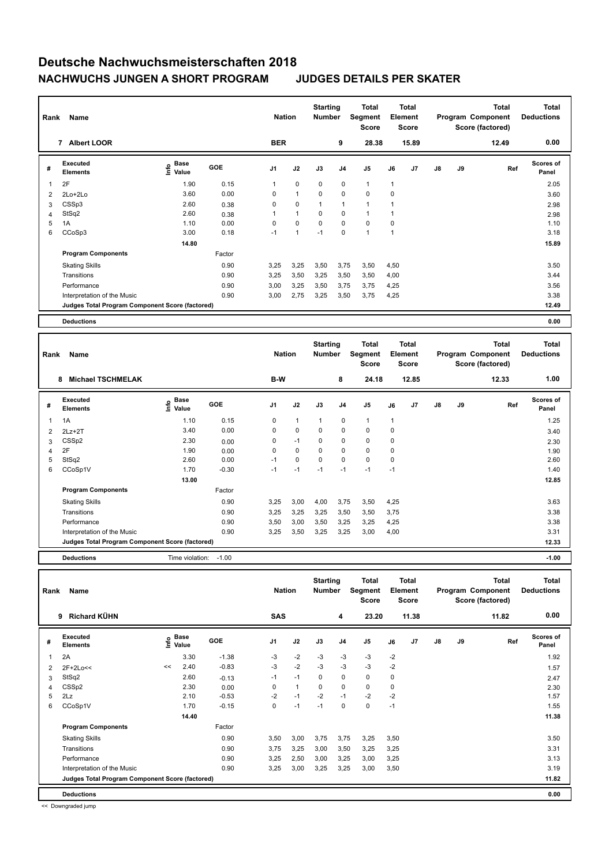| Rank | Name                                            |                              |            | <b>Nation</b>  |                | <b>Starting</b><br><b>Number</b> |                | Total<br>Segment<br><b>Score</b> |              | <b>Total</b><br>Element<br><b>Score</b> |               |    | <b>Total</b><br>Program Component<br>Score (factored) | <b>Total</b><br><b>Deductions</b> |
|------|-------------------------------------------------|------------------------------|------------|----------------|----------------|----------------------------------|----------------|----------------------------------|--------------|-----------------------------------------|---------------|----|-------------------------------------------------------|-----------------------------------|
|      | <b>Albert LOOR</b><br>$\overline{7}$            |                              |            | <b>BER</b>     |                |                                  | 9              | 28.38                            |              | 15.89                                   |               |    | 12.49                                                 | 0.00                              |
| #    | Executed<br><b>Elements</b>                     | <b>Base</b><br>Info<br>Value | <b>GOE</b> | J <sub>1</sub> | J2             | J3                               | J <sub>4</sub> | J <sub>5</sub>                   | J6           | J7                                      | $\mathsf{J}8$ | J9 | Ref                                                   | <b>Scores of</b><br>Panel         |
| 1    | 2F                                              | 1.90                         | 0.15       | $\mathbf{1}$   | $\pmb{0}$      | 0                                | 0              | $\mathbf{1}$                     | $\mathbf{1}$ |                                         |               |    |                                                       | 2.05                              |
| 2    | 2Lo+2Lo                                         | 3.60                         | 0.00       | 0              | $\mathbf{1}$   | $\mathbf 0$                      | $\mathbf 0$    | $\mathbf 0$                      | 0            |                                         |               |    |                                                       | 3.60                              |
| 3    | CSSp3                                           | 2.60                         | 0.38       | 0              | $\mathbf 0$    |                                  | $\overline{1}$ | $\blacktriangleleft$             | 1            |                                         |               |    |                                                       | 2.98                              |
| 4    | StSq2                                           | 2.60                         | 0.38       |                | $\mathbf{1}$   | 0                                | 0              | $\mathbf{1}$                     |              |                                         |               |    |                                                       | 2.98                              |
| 5    | 1A                                              | 1.10                         | 0.00       | 0              | $\mathbf 0$    | $\mathbf 0$                      | $\mathbf 0$    | $\mathbf 0$                      | 0            |                                         |               |    |                                                       | 1.10                              |
| 6    | CCoSp3                                          | 3.00                         | 0.18       | $-1$           | $\overline{1}$ | $-1$                             | $\mathbf 0$    | $\mathbf{1}$                     | 1            |                                         |               |    |                                                       | 3.18                              |
|      |                                                 | 14.80                        |            |                |                |                                  |                |                                  |              |                                         |               |    |                                                       | 15.89                             |
|      | <b>Program Components</b>                       |                              | Factor     |                |                |                                  |                |                                  |              |                                         |               |    |                                                       |                                   |
|      | <b>Skating Skills</b>                           |                              | 0.90       | 3,25           | 3,25           | 3,50                             | 3,75           | 3,50                             | 4,50         |                                         |               |    |                                                       | 3.50                              |
|      | Transitions                                     |                              | 0.90       | 3,25           | 3,50           | 3,25                             | 3,50           | 3,50                             | 4,00         |                                         |               |    |                                                       | 3.44                              |
|      | Performance                                     |                              | 0.90       | 3,00           | 3,25           | 3,50                             | 3,75           | 3,75                             | 4,25         |                                         |               |    |                                                       | 3.56                              |
|      | Interpretation of the Music                     |                              | 0.90       | 3,00           | 2,75           | 3,25                             | 3,50           | 3,75                             | 4,25         |                                         |               |    |                                                       | 3.38                              |
|      | Judges Total Program Component Score (factored) |                              |            |                |                |                                  |                |                                  |              |                                         |               |    |                                                       | 12.49                             |
|      | <b>Deductions</b>                               |                              |            |                |                |                                  |                |                                  |              |                                         |               |    |                                                       | 0.00                              |

| Rank | Name                                            |                   |            | <b>Nation</b>  |              | <b>Starting</b><br><b>Number</b> |                | <b>Total</b><br>Segment<br><b>Score</b> |             | <b>Total</b><br>Element<br><b>Score</b> |               |    | <b>Total</b><br>Program Component<br>Score (factored) | <b>Total</b><br><b>Deductions</b> |
|------|-------------------------------------------------|-------------------|------------|----------------|--------------|----------------------------------|----------------|-----------------------------------------|-------------|-----------------------------------------|---------------|----|-------------------------------------------------------|-----------------------------------|
|      | <b>Michael TSCHMELAK</b><br>8                   |                   |            | B-W            |              |                                  | 8              | 24.18                                   |             | 12.85                                   |               |    | 12.33                                                 | 1.00                              |
| #    | <b>Executed</b><br><b>Elements</b>              | e Base<br>E Value | <b>GOE</b> | J <sub>1</sub> | J2           | J3                               | J <sub>4</sub> | J <sub>5</sub>                          | J6          | J <sub>7</sub>                          | $\mathsf{J}8$ | J9 | Ref                                                   | <b>Scores of</b><br>Panel         |
| 1    | 1A                                              | 1.10              | 0.15       | 0              | $\mathbf{1}$ | 1                                | 0              | $\mathbf{1}$                            | -1          |                                         |               |    |                                                       | 1.25                              |
| 2    | $2Lz+2T$                                        | 3.40              | 0.00       | 0              | $\mathbf 0$  | $\Omega$                         | 0              | $\mathbf 0$                             | 0           |                                         |               |    |                                                       | 3.40                              |
| 3    | CSSp2                                           | 2.30              | 0.00       | 0              | $-1$         | 0                                | 0              | 0                                       | 0           |                                         |               |    |                                                       | 2.30                              |
| 4    | 2F                                              | 1.90              | 0.00       | 0              | $\mathbf 0$  | 0                                | 0              | $\Omega$                                | 0           |                                         |               |    |                                                       | 1.90                              |
| 5    | StSq2                                           | 2.60              | 0.00       | $-1$           | $\Omega$     | $\Omega$                         | $\Omega$       | $\Omega$                                | $\mathbf 0$ |                                         |               |    |                                                       | 2.60                              |
| 6    | CCoSp1V                                         | 1.70              | $-0.30$    | $-1$           | $-1$         | $-1$                             | $-1$           | $-1$                                    | $-1$        |                                         |               |    |                                                       | 1.40                              |
|      |                                                 | 13.00             |            |                |              |                                  |                |                                         |             |                                         |               |    |                                                       | 12.85                             |
|      | <b>Program Components</b>                       |                   | Factor     |                |              |                                  |                |                                         |             |                                         |               |    |                                                       |                                   |
|      | <b>Skating Skills</b>                           |                   | 0.90       | 3,25           | 3,00         | 4,00                             | 3,75           | 3,50                                    | 4,25        |                                         |               |    |                                                       | 3.63                              |
|      | Transitions                                     |                   | 0.90       | 3,25           | 3,25         | 3,25                             | 3,50           | 3,50                                    | 3,75        |                                         |               |    |                                                       | 3.38                              |
|      | Performance                                     |                   | 0.90       | 3,50           | 3,00         | 3,50                             | 3,25           | 3,25                                    | 4,25        |                                         |               |    |                                                       | 3.38                              |
|      | Interpretation of the Music                     |                   | 0.90       | 3,25           | 3,50         | 3,25                             | 3,25           | 3,00                                    | 4,00        |                                         |               |    |                                                       | 3.31                              |
|      | Judges Total Program Component Score (factored) |                   |            |                |              |                                  |                |                                         |             |                                         |               |    |                                                       | 12.33                             |
|      | <b>Deductions</b>                               | Time violation:   | $-1.00$    |                |              |                                  |                |                                         |             |                                         |               |    |                                                       | $-1.00$                           |

| Rank           | Name                                            |     |                      |         | <b>Nation</b>  |                | <b>Starting</b><br><b>Number</b> |                | Total<br>Segment<br>Score |      | Total<br>Element<br><b>Score</b> |               |    | <b>Total</b><br>Program Component<br>Score (factored) | <b>Total</b><br><b>Deductions</b> |
|----------------|-------------------------------------------------|-----|----------------------|---------|----------------|----------------|----------------------------------|----------------|---------------------------|------|----------------------------------|---------------|----|-------------------------------------------------------|-----------------------------------|
|                | <b>Richard KÜHN</b><br>9                        |     |                      |         | <b>SAS</b>     |                |                                  | 4              | 23.20                     |      | 11.38                            |               |    | 11.82                                                 | 0.00                              |
| #              | Executed<br><b>Elements</b>                     | ١m٥ | <b>Base</b><br>Value | GOE     | J <sub>1</sub> | J2             | J3                               | J <sub>4</sub> | J5                        | J6   | J <sub>7</sub>                   | $\mathsf{J}8$ | J9 | Ref                                                   | <b>Scores of</b><br>Panel         |
| -1             | 2A                                              |     | 3.30                 | $-1.38$ | $-3$           | $-2$           | $-3$                             | $-3$           | $-3$                      | $-2$ |                                  |               |    |                                                       | 1.92                              |
| $\overline{2}$ | $2F+2Lo<<$                                      | <<  | 2.40                 | $-0.83$ | $-3$           | $-2$           | $-3$                             | $-3$           | $-3$                      | $-2$ |                                  |               |    |                                                       | 1.57                              |
| 3              | StSq2                                           |     | 2.60                 | $-0.13$ | $-1$           | $-1$           | 0                                | $\mathbf 0$    | $\mathbf 0$               | 0    |                                  |               |    |                                                       | 2.47                              |
| 4              | CSSp2                                           |     | 2.30                 | 0.00    | 0              | $\overline{1}$ | $\mathbf 0$                      | $\mathbf 0$    | $\mathbf 0$               | 0    |                                  |               |    |                                                       | 2.30                              |
| 5              | 2Lz                                             |     | 2.10                 | $-0.53$ | $-2$           | $-1$           | $-2$                             | $-1$           | $-2$                      | $-2$ |                                  |               |    |                                                       | 1.57                              |
| 6              | CCoSp1V                                         |     | 1.70                 | $-0.15$ | $\Omega$       | $-1$           | $-1$                             | 0              | $\mathbf 0$               | $-1$ |                                  |               |    |                                                       | 1.55                              |
|                |                                                 |     | 14.40                |         |                |                |                                  |                |                           |      |                                  |               |    |                                                       | 11.38                             |
|                | <b>Program Components</b>                       |     |                      | Factor  |                |                |                                  |                |                           |      |                                  |               |    |                                                       |                                   |
|                | <b>Skating Skills</b>                           |     |                      | 0.90    | 3,50           | 3,00           | 3,75                             | 3,75           | 3,25                      | 3,50 |                                  |               |    |                                                       | 3.50                              |
|                | Transitions                                     |     |                      | 0.90    | 3,75           | 3,25           | 3,00                             | 3,50           | 3,25                      | 3,25 |                                  |               |    |                                                       | 3.31                              |
|                | Performance                                     |     |                      | 0.90    | 3.25           | 2,50           | 3,00                             | 3,25           | 3,00                      | 3,25 |                                  |               |    |                                                       | 3.13                              |
|                | Interpretation of the Music                     |     |                      | 0.90    | 3,25           | 3,00           | 3,25                             | 3,25           | 3,00                      | 3,50 |                                  |               |    |                                                       | 3.19                              |
|                | Judges Total Program Component Score (factored) |     |                      |         |                |                |                                  |                |                           |      |                                  |               |    |                                                       | 11.82                             |
|                | <b>Deductions</b>                               |     |                      |         |                |                |                                  |                |                           |      |                                  |               |    |                                                       | 0.00                              |

<< Downgraded jump